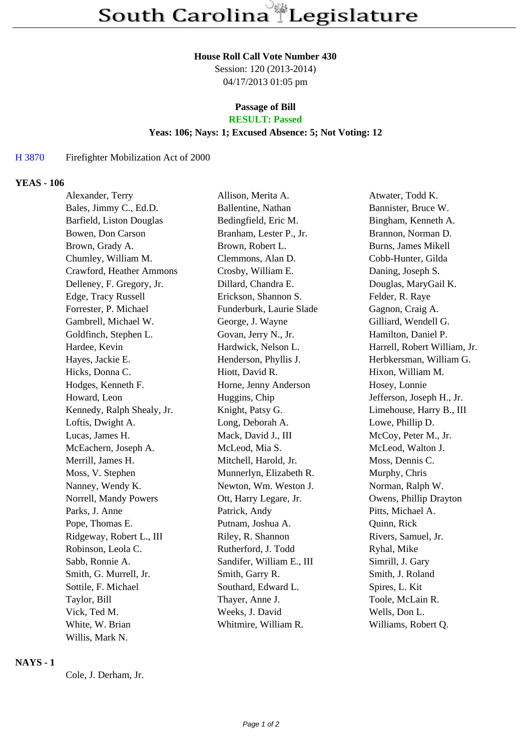# **House Roll Call Vote Number 430**

Session: 120 (2013-2014) 04/17/2013 01:05 pm

#### **Passage of Bill RESULT: Passed**

#### **Yeas: 106; Nays: 1; Excused Absence: 5; Not Voting: 12**

### H 3870 Firefighter Mobilization Act of 2000

### **YEAS - 106**

| Alexander, Terry           | Allison, Merita A.        | Atwater, Todd K.             |
|----------------------------|---------------------------|------------------------------|
| Bales, Jimmy C., Ed.D.     | Ballentine, Nathan        | Bannister, Bruce W.          |
| Barfield, Liston Douglas   | Bedingfield, Eric M.      | Bingham, Kenneth A.          |
| Bowen, Don Carson          | Branham, Lester P., Jr.   | Brannon, Norman D.           |
| Brown, Grady A.            | Brown, Robert L.          | <b>Burns, James Mikell</b>   |
| Chumley, William M.        | Clemmons, Alan D.         | Cobb-Hunter, Gilda           |
| Crawford, Heather Ammons   | Crosby, William E.        | Daning, Joseph S.            |
| Delleney, F. Gregory, Jr.  | Dillard, Chandra E.       | Douglas, MaryGail K.         |
| Edge, Tracy Russell        | Erickson, Shannon S.      | Felder, R. Raye              |
| Forrester, P. Michael      | Funderburk, Laurie Slade  | Gagnon, Craig A.             |
| Gambrell, Michael W.       | George, J. Wayne          | Gilliard, Wendell G.         |
| Goldfinch, Stephen L.      | Govan, Jerry N., Jr.      | Hamilton, Daniel P.          |
| Hardee, Kevin              | Hardwick, Nelson L.       | Harrell, Robert William, Jr. |
| Hayes, Jackie E.           | Henderson, Phyllis J.     | Herbkersman, William G.      |
| Hicks, Donna C.            | Hiott, David R.           | Hixon, William M.            |
| Hodges, Kenneth F.         | Horne, Jenny Anderson     | Hosey, Lonnie                |
| Howard, Leon               | Huggins, Chip             | Jefferson, Joseph H., Jr.    |
| Kennedy, Ralph Shealy, Jr. | Knight, Patsy G.          | Limehouse, Harry B., III     |
| Loftis, Dwight A.          | Long, Deborah A.          | Lowe, Phillip D.             |
| Lucas, James H.            | Mack, David J., III       | McCoy, Peter M., Jr.         |
| McEachern, Joseph A.       | McLeod, Mia S.            | McLeod, Walton J.            |
| Merrill, James H.          | Mitchell, Harold, Jr.     | Moss, Dennis C.              |
| Moss, V. Stephen           | Munnerlyn, Elizabeth R.   | Murphy, Chris                |
| Nanney, Wendy K.           | Newton, Wm. Weston J.     | Norman, Ralph W.             |
| Norrell, Mandy Powers      | Ott, Harry Legare, Jr.    | Owens, Phillip Drayton       |
| Parks, J. Anne             | Patrick, Andy             | Pitts, Michael A.            |
| Pope, Thomas E.            | Putnam, Joshua A.         | Quinn, Rick                  |
| Ridgeway, Robert L., III   | Riley, R. Shannon         | Rivers, Samuel, Jr.          |
| Robinson, Leola C.         | Rutherford, J. Todd       | Ryhal, Mike                  |
| Sabb, Ronnie A.            | Sandifer, William E., III | Simrill, J. Gary             |
| Smith, G. Murrell, Jr.     | Smith, Garry R.           | Smith, J. Roland             |
| Sottile, F. Michael        | Southard, Edward L.       | Spires, L. Kit               |
| Taylor, Bill               | Thayer, Anne J.           | Toole, McLain R.             |
| Vick, Ted M.               | Weeks, J. David           | Wells, Don L.                |
| White, W. Brian            | Whitmire, William R.      | Williams, Robert Q.          |
| Willis, Mark N.            |                           |                              |

## **NAYS - 1**

Cole, J. Derham, Jr.